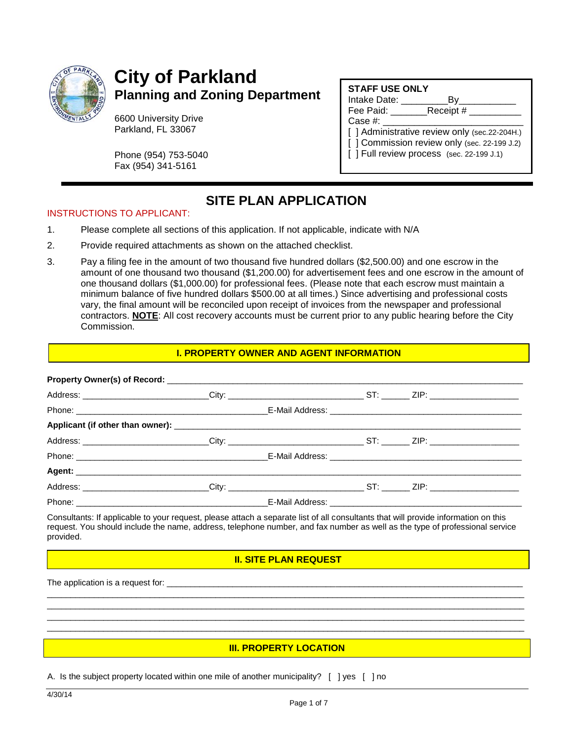

# **City of Parkland Planning and Zoning Department**

6600 University Drive Parkland, FL 33067

Phone (954) 753-5040 Fax (954) 341-5161

#### **STAFF USE ONLY**

Intake Date: \_\_\_\_\_\_\_\_\_By\_\_\_\_\_\_\_\_\_\_\_ Fee Paid: Receipt #  $Case #:$ 

[ ] Administrative review only (sec.22-204H.)

- [ ] Commission review only (sec. 22-199 J.2)
- [ ] Full review process (sec. 22-199 J.1)

### **SITE PLAN APPLICATION**

#### INSTRUCTIONS TO APPLICANT:

- 1. Please complete all sections of this application. If not applicable, indicate with N/A
- 2. Provide required attachments as shown on the attached checklist.
- 3. Pay a filing fee in the amount of two thousand five hundred dollars (\$2,500.00) and one escrow in the amount of one thousand two thousand (\$1,200.00) for advertisement fees and one escrow in the amount of one thousand dollars (\$1,000.00) for professional fees. (Please note that each escrow must maintain a minimum balance of five hundred dollars \$500.00 at all times.) Since advertising and professional costs vary, the final amount will be reconciled upon receipt of invoices from the newspaper and professional contractors. **NOTE**: All cost recovery accounts must be current prior to any public hearing before the City Commission.

#### **I. PROPERTY OWNER AND AGENT INFORMATION**

| Address: _________________________City: ______________________________ST: _______ ZIP: __________________      |  |  |  |
|----------------------------------------------------------------------------------------------------------------|--|--|--|
|                                                                                                                |  |  |  |
|                                                                                                                |  |  |  |
| Address: __________________________City: _______________________________ST: _________ZIP: ____________________ |  |  |  |
|                                                                                                                |  |  |  |
|                                                                                                                |  |  |  |
| Address: _________________________City: _______________________________ST: ________ZIP: ______________________ |  |  |  |
|                                                                                                                |  |  |  |

Consultants: If applicable to your request, please attach a separate list of all consultants that will provide information on this request. You should include the name, address, telephone number, and fax number as well as the type of professional service provided.

#### **II. SITE PLAN REQUEST**

\_\_\_\_\_\_\_\_\_\_\_\_\_\_\_\_\_\_\_\_\_\_\_\_\_\_\_\_\_\_\_\_\_\_\_\_\_\_\_\_\_\_\_\_\_\_\_\_\_\_\_\_\_\_\_\_\_\_\_\_\_\_\_\_\_\_\_\_\_\_\_\_\_\_\_\_\_\_\_\_\_\_\_\_\_\_\_\_\_\_\_\_\_\_\_\_\_\_\_\_\_\_ \_\_\_\_\_\_\_\_\_\_\_\_\_\_\_\_\_\_\_\_\_\_\_\_\_\_\_\_\_\_\_\_\_\_\_\_\_\_\_\_\_\_\_\_\_\_\_\_\_\_\_\_\_\_\_\_\_\_\_\_\_\_\_\_\_\_\_\_\_\_\_\_\_\_\_\_\_\_\_\_\_\_\_\_\_\_\_\_\_\_\_\_\_\_\_\_\_\_\_\_\_\_ \_\_\_\_\_\_\_\_\_\_\_\_\_\_\_\_\_\_\_\_\_\_\_\_\_\_\_\_\_\_\_\_\_\_\_\_\_\_\_\_\_\_\_\_\_\_\_\_\_\_\_\_\_\_\_\_\_\_\_\_\_\_\_\_\_\_\_\_\_\_\_\_\_\_\_\_\_\_\_\_\_\_\_\_\_\_\_\_\_\_\_\_\_\_\_\_\_\_\_\_\_\_ \_\_\_\_\_\_\_\_\_\_\_\_\_\_\_\_\_\_\_\_\_\_\_\_\_\_\_\_\_\_\_\_\_\_\_\_\_\_\_\_\_\_\_\_\_\_\_\_\_\_\_\_\_\_\_\_\_\_\_\_\_\_\_\_\_\_\_\_\_\_\_\_\_\_\_\_\_\_\_\_\_\_\_\_\_\_\_\_\_\_\_\_\_\_\_\_\_\_\_\_\_\_

The application is a request for:

#### **III. PROPERTY LOCATION**

A. Is the subject property located within one mile of another municipality? [ ] yes [ ] no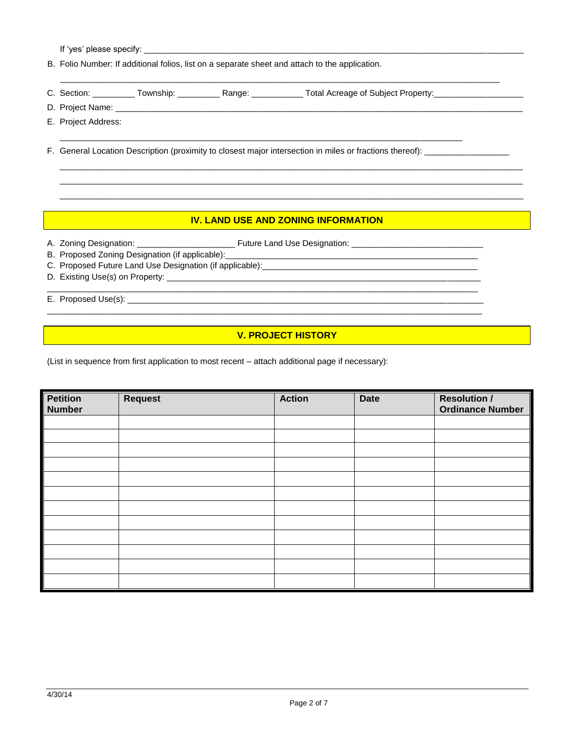If 'yes' please specify: \_\_\_\_\_\_

B. Folio Number: If additional folios, list on a separate sheet and attach to the application.

- $\_$  ,  $\_$  ,  $\_$  ,  $\_$  ,  $\_$  ,  $\_$  ,  $\_$  ,  $\_$  ,  $\_$  ,  $\_$  ,  $\_$  ,  $\_$  ,  $\_$  ,  $\_$  ,  $\_$  ,  $\_$  ,  $\_$  ,  $\_$  ,  $\_$  ,  $\_$  ,  $\_$  ,  $\_$  ,  $\_$  ,  $\_$  ,  $\_$  ,  $\_$  ,  $\_$  ,  $\_$  ,  $\_$  ,  $\_$  ,  $\_$  ,  $\_$  ,  $\_$  ,  $\_$  ,  $\_$  ,  $\_$  ,  $\_$  , C. Section: \_\_\_\_\_\_\_\_\_\_ Township: \_\_\_\_\_\_\_\_\_\_ Range: \_\_\_\_\_\_\_\_\_\_\_\_ Total Acreage of Subject Property: \_\_\_\_\_\_\_\_\_\_\_\_\_\_\_\_\_
- D. Project Name:
- E. Project Address:
- F. General Location Description (proximity to closest major intersection in miles or fractions thereof):

\_\_\_\_\_\_\_\_\_\_\_\_\_\_\_\_\_\_\_\_\_\_\_\_\_\_\_\_\_\_\_\_\_\_\_\_\_\_\_\_\_\_\_\_\_\_\_\_\_\_\_\_\_\_\_\_\_\_\_\_\_\_\_\_\_\_\_\_\_\_\_\_\_\_\_\_\_\_\_\_\_\_\_\_\_\_

#### **IV. LAND USE AND ZONING INFORMATION**

 $\_$  ,  $\_$  ,  $\_$  ,  $\_$  ,  $\_$  ,  $\_$  ,  $\_$  ,  $\_$  ,  $\_$  ,  $\_$  ,  $\_$  ,  $\_$  ,  $\_$  ,  $\_$  ,  $\_$  ,  $\_$  ,  $\_$  ,  $\_$  ,  $\_$  ,  $\_$  ,  $\_$  ,  $\_$  ,  $\_$  ,  $\_$  ,  $\_$  ,  $\_$  ,  $\_$  ,  $\_$  ,  $\_$  ,  $\_$  ,  $\_$  ,  $\_$  ,  $\_$  ,  $\_$  ,  $\_$  ,  $\_$  ,  $\_$  ,  $\_$  ,  $\_$  ,  $\_$  ,  $\_$  ,  $\_$  ,  $\_$  ,  $\_$  ,  $\_$  ,  $\_$  ,  $\_$  ,  $\_$  ,  $\_$  ,  $\_$  ,  $\_$  ,  $\_$  ,  $\_$  ,  $\_$  ,  $\_$  ,  $\_$  ,  $\_$  ,  $\_$  ,  $\_$  ,  $\_$  ,  $\_$  ,  $\_$  ,  $\_$  ,  $\_$  ,  $\_$  ,  $\_$  ,  $\_$  ,  $\_$  ,  $\_$  ,  $\_$  ,  $\_$  ,  $\_$  ,  $\_$  ,  $\_$  , \_\_\_\_\_\_\_\_\_\_\_\_\_\_\_\_\_\_\_\_\_\_\_\_\_\_\_\_\_\_\_\_\_\_\_\_\_\_\_\_\_\_\_\_\_\_\_\_\_\_\_\_\_\_\_\_\_\_\_\_\_\_\_\_\_\_\_\_\_\_\_\_\_\_\_\_\_\_\_\_\_\_\_\_\_\_\_\_\_\_\_\_\_\_\_\_\_\_\_

A. Zoning Designation: \_\_\_\_\_\_\_\_\_\_\_\_\_\_\_\_\_\_\_\_\_ Future Land Use Designation: \_\_\_\_\_\_\_\_\_\_\_\_\_\_\_\_\_\_\_\_\_\_\_\_\_\_\_\_

- B. Proposed Zoning Designation (if applicable):
- C. Proposed Future Land Use Designation (if applicable):\_\_\_\_\_\_\_\_\_\_\_\_\_\_\_\_\_\_\_\_\_\_\_\_\_\_\_\_\_\_\_\_\_\_\_\_\_\_\_\_\_\_\_\_\_\_ D. Existing Use(s) on Property: \_\_\_\_\_\_\_\_\_\_\_\_\_\_\_\_\_\_\_\_\_\_\_\_\_\_\_\_\_\_\_\_\_\_\_\_\_\_\_\_\_\_\_\_\_\_\_\_\_\_\_\_\_\_\_\_\_\_\_\_\_\_\_\_\_\_\_

E. Proposed Use(s): \_\_\_\_\_\_\_\_\_\_\_\_\_\_\_\_\_\_\_\_\_\_\_\_\_\_\_\_\_\_\_\_\_\_\_\_\_\_\_\_\_\_\_\_\_\_\_\_\_\_\_\_\_\_\_\_\_\_\_\_\_\_\_\_\_\_\_\_\_\_\_\_\_\_\_\_

# **V. PROJECT HISTORY**

 $\_$  ,  $\_$  ,  $\_$  ,  $\_$  ,  $\_$  ,  $\_$  ,  $\_$  ,  $\_$  ,  $\_$  ,  $\_$  ,  $\_$  ,  $\_$  ,  $\_$  ,  $\_$  ,  $\_$  ,  $\_$  ,  $\_$  ,  $\_$  ,  $\_$  ,  $\_$  ,  $\_$  ,  $\_$  ,  $\_$  ,  $\_$  ,  $\_$  ,  $\_$  ,  $\_$  ,  $\_$  ,  $\_$  ,  $\_$  ,  $\_$  ,  $\_$  ,  $\_$  ,  $\_$  ,  $\_$  ,  $\_$  ,  $\_$  ,

(List in sequence from first application to most recent – attach additional page if necessary):

| <b>Petition</b><br><b>Number</b> | <b>Request</b> | Action | <b>Date</b> | <b>Resolution /</b><br><b>Ordinance Number</b> |
|----------------------------------|----------------|--------|-------------|------------------------------------------------|
|                                  |                |        |             |                                                |
|                                  |                |        |             |                                                |
|                                  |                |        |             |                                                |
|                                  |                |        |             |                                                |
|                                  |                |        |             |                                                |
|                                  |                |        |             |                                                |
|                                  |                |        |             |                                                |
|                                  |                |        |             |                                                |
|                                  |                |        |             |                                                |
|                                  |                |        |             |                                                |
|                                  |                |        |             |                                                |
|                                  |                |        |             |                                                |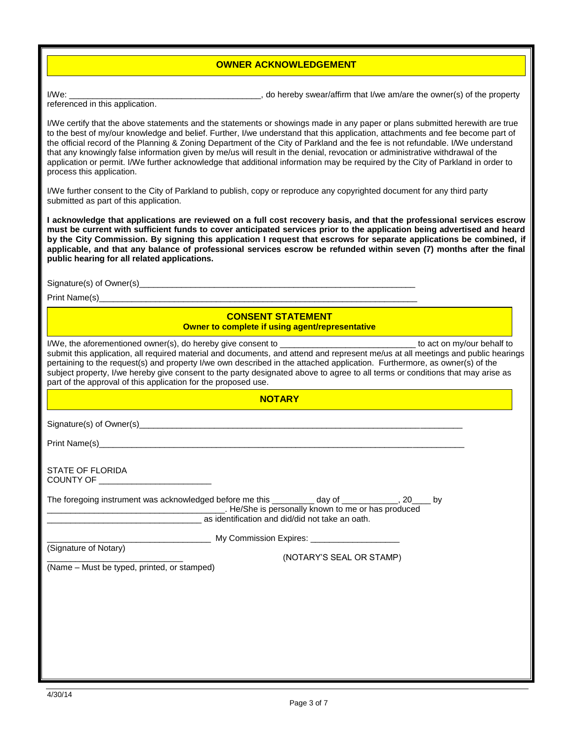#### **OWNER ACKNOWLEDGEMENT**

I/We: wear/affirm that I/we am/are the owner(s) of the property

referenced in this application.

I/We certify that the above statements and the statements or showings made in any paper or plans submitted herewith are true to the best of my/our knowledge and belief. Further, I/we understand that this application, attachments and fee become part of the official record of the Planning & Zoning Department of the City of Parkland and the fee is not refundable. I/We understand that any knowingly false information given by me/us will result in the denial, revocation or administrative withdrawal of the application or permit. I/We further acknowledge that additional information may be required by the City of Parkland in order to process this application.

I/We further consent to the City of Parkland to publish, copy or reproduce any copyrighted document for any third party submitted as part of this application.

**I acknowledge that applications are reviewed on a full cost recovery basis, and that the professional services escrow must be current with sufficient funds to cover anticipated services prior to the application being advertised and heard by the City Commission. By signing this application I request that escrows for separate applications be combined, if applicable, and that any balance of professional services escrow be refunded within seven (7) months after the final public hearing for all related applications.**

Signature(s) of Owner(s)

Print Name(s)

#### **CONSENT STATEMENT Owner to complete if using agent/representative**

I/We, the aforementioned owner(s), do hereby give consent to **we are all affect to actually to act on** my/our behalf to submit this application, all required material and documents, and attend and represent me/us at all meetings and public hearings pertaining to the request(s) and property I/we own described in the attached application. Furthermore, as owner(s) of the subject property, I/we hereby give consent to the party designated above to agree to all terms or conditions that may arise as part of the approval of this application for the proposed use.

| He/She is personally known to me or has produced example and the MShe is personally known to me or has produced<br>as identification and did/did not take an oath.<br>(NOTARY'S SEAL OR STAMP) | <b>NOTARY</b> |  |  |
|------------------------------------------------------------------------------------------------------------------------------------------------------------------------------------------------|---------------|--|--|
| STATE OF FLORIDA<br>The foregoing instrument was acknowledged before me this __________ day of ____________, 20____ by<br>(Signature of Notary)<br>(Name - Must be typed, printed, or stamped) |               |  |  |
|                                                                                                                                                                                                |               |  |  |
|                                                                                                                                                                                                |               |  |  |
|                                                                                                                                                                                                |               |  |  |
|                                                                                                                                                                                                |               |  |  |
|                                                                                                                                                                                                |               |  |  |
|                                                                                                                                                                                                |               |  |  |
|                                                                                                                                                                                                |               |  |  |
|                                                                                                                                                                                                |               |  |  |
|                                                                                                                                                                                                |               |  |  |
|                                                                                                                                                                                                |               |  |  |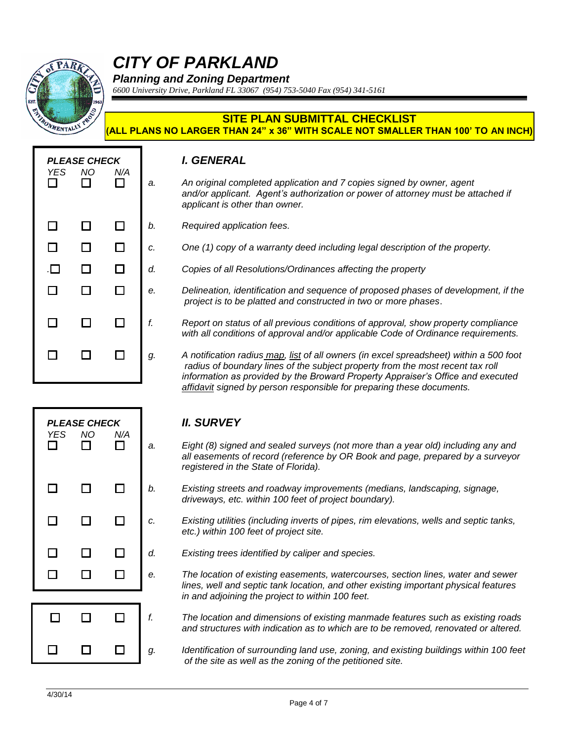

# *CITY OF PARKLAND*

*Planning and Zoning Department*

*6600 University Drive, Parkland FL 33067 (954) 753-5040 Fax (954) 341-5161*

#### **SITE PLAN SUBMITTAL CHECKLIST (ALL PLANS NO LARGER THAN 24" x 36" WITH SCALE NOT SMALLER THAN 100' TO AN INCH)**

| YES.<br>$\Box$<br>$\Box$<br>$\Box$<br>$\Box$<br>$\Box$<br>$\Box$ | <b>PLEASE CHECK</b><br>NO.<br>$\Box$<br>□<br>$\Box$<br>□<br>$\Box$<br>□ | N/A<br>П<br>□<br>$\Box$<br>$\Box$<br>$\Box$<br>П | a.<br>b.<br>c.<br>d.<br>e.<br>f. |
|------------------------------------------------------------------|-------------------------------------------------------------------------|--------------------------------------------------|----------------------------------|
| □                                                                | $\Box$                                                                  | П                                                | g.                               |

#### *PLEASE CHECK I. GENERAL*

- *a. An original completed application and 7 copies signed by owner, agent and/or applicant. Agent's authorization or power of attorney must be attached if applicant is other than owner.*
- *b. Required application fees.*
	- *c. One (1) copy of a warranty deed including legal description of the property.*
	- *. d. Copies of all Resolutions/Ordinances affecting the property*
	- *e. Delineation, identification and sequence of proposed phases of development, if the project is to be platted and constructed in two or more phases*.
	- *f. Report on status of all previous conditions of approval, show property compliance with all conditions of approval and/or applicable Code of Ordinance requirements.*
	- *g. A notification radius map, list of all owners (in excel spreadsheet) within a 500 foot radius of boundary lines of the subject property from the most recent tax roll information as provided by the Broward Property Appraiser's Office and executed affidavit signed by person responsible for preparing these documents.*



- *a. Eight (8) signed and sealed surveys (not more than a year old) including any and all easements of record (reference by OR Book and page, prepared by a surveyor registered in the State of Florida).*
- *b. Existing streets and roadway improvements (medians, landscaping, signage, driveways, etc. within 100 feet of project boundary).*
- *c. Existing utilities (including inverts of pipes, rim elevations, wells and septic tanks, etc.) within 100 feet of project site.*
- *d. Existing trees identified by caliper and species.*
- *e. The location of existing easements, watercourses, section lines, water and sewer lines, well and septic tank location, and other existing important physical features in and adjoining the project to within 100 feet.*
- *f. The location and dimensions of existing manmade features such as existing roads and structures with indication as to which are to be removed, renovated or altered.*

*g. Identification of surrounding land use, zoning, and existing buildings within 100 feet of the site as well as the zoning of the petitioned site.*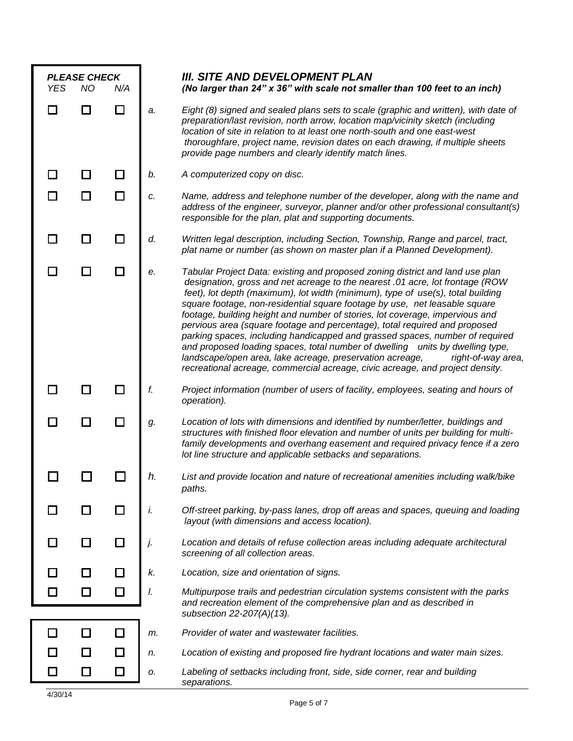| <b>YES</b>     | <b>PLEASE CHECK</b><br><b>NO</b> | N/A    |    | <b>III. SITE AND DEVELOPMENT PLAN</b><br>(No larger than 24" x 36" with scale not smaller than 100 feet to an inch)                                                                                                                                                                                                                                                                                                                                                                                                                                                                                                                                                                                                                                                                                                               |
|----------------|----------------------------------|--------|----|-----------------------------------------------------------------------------------------------------------------------------------------------------------------------------------------------------------------------------------------------------------------------------------------------------------------------------------------------------------------------------------------------------------------------------------------------------------------------------------------------------------------------------------------------------------------------------------------------------------------------------------------------------------------------------------------------------------------------------------------------------------------------------------------------------------------------------------|
| $\blacksquare$ |                                  | $\Box$ | a. | Eight (8) signed and sealed plans sets to scale (graphic and written), with date of<br>preparation/last revision, north arrow, location map/vicinity sketch (including<br>location of site in relation to at least one north-south and one east-west<br>thoroughfare, project name, revision dates on each drawing, if multiple sheets<br>provide page numbers and clearly identify match lines.                                                                                                                                                                                                                                                                                                                                                                                                                                  |
| $\Box$         |                                  | П      | b. | A computerized copy on disc.                                                                                                                                                                                                                                                                                                                                                                                                                                                                                                                                                                                                                                                                                                                                                                                                      |
| П              |                                  | □      | c. | Name, address and telephone number of the developer, along with the name and<br>address of the engineer, surveyor, planner and/or other professional consultant(s)<br>responsible for the plan, plat and supporting documents.                                                                                                                                                                                                                                                                                                                                                                                                                                                                                                                                                                                                    |
| $\blacksquare$ |                                  | □      | d. | Written legal description, including Section, Township, Range and parcel, tract,<br>plat name or number (as shown on master plan if a Planned Development).                                                                                                                                                                                                                                                                                                                                                                                                                                                                                                                                                                                                                                                                       |
|                |                                  | П      | е. | Tabular Project Data: existing and proposed zoning district and land use plan<br>designation, gross and net acreage to the nearest .01 acre, lot frontage (ROW<br>feet), lot depth (maximum), lot width (minimum), type of use(s), total building<br>square footage, non-residential square footage by use, net leasable square<br>footage, building height and number of stories, lot coverage, impervious and<br>pervious area (square footage and percentage), total required and proposed<br>parking spaces, including handicapped and grassed spaces, number of required<br>and proposed loading spaces, total number of dwelling units by dwelling type,<br>landscape/open area, lake acreage, preservation acreage,<br>right-of-way area,<br>recreational acreage, commercial acreage, civic acreage, and project density. |
|                |                                  | $\Box$ | f. | Project information (number of users of facility, employees, seating and hours of<br>operation).                                                                                                                                                                                                                                                                                                                                                                                                                                                                                                                                                                                                                                                                                                                                  |
| $\Box$         |                                  | $\Box$ | g. | Location of lots with dimensions and identified by number/letter, buildings and<br>structures with finished floor elevation and number of units per building for multi-<br>family developments and overhang easement and required privacy fence if a zero<br>lot line structure and applicable setbacks and separations.                                                                                                                                                                                                                                                                                                                                                                                                                                                                                                          |
|                |                                  |        |    | List and provide location and nature of recreational amenities including walk/bike<br>paths.                                                                                                                                                                                                                                                                                                                                                                                                                                                                                                                                                                                                                                                                                                                                      |
|                |                                  | □      | i. | Off-street parking, by-pass lanes, drop off areas and spaces, queuing and loading<br>layout (with dimensions and access location).                                                                                                                                                                                                                                                                                                                                                                                                                                                                                                                                                                                                                                                                                                |
|                |                                  | □      | j. | Location and details of refuse collection areas including adequate architectural<br>screening of all collection areas.                                                                                                                                                                                                                                                                                                                                                                                                                                                                                                                                                                                                                                                                                                            |
|                |                                  | □      | k. | Location, size and orientation of signs.                                                                                                                                                                                                                                                                                                                                                                                                                                                                                                                                                                                                                                                                                                                                                                                          |
|                |                                  | □      | I. | Multipurpose trails and pedestrian circulation systems consistent with the parks<br>and recreation element of the comprehensive plan and as described in<br>subsection 22-207(A)(13).                                                                                                                                                                                                                                                                                                                                                                                                                                                                                                                                                                                                                                             |
| П              |                                  | □      | m. | Provider of water and wastewater facilities.                                                                                                                                                                                                                                                                                                                                                                                                                                                                                                                                                                                                                                                                                                                                                                                      |
|                |                                  | $\Box$ | n. | Location of existing and proposed fire hydrant locations and water main sizes.                                                                                                                                                                                                                                                                                                                                                                                                                                                                                                                                                                                                                                                                                                                                                    |
|                |                                  | □      | О. | Labeling of setbacks including front, side, side corner, rear and building<br>separations.                                                                                                                                                                                                                                                                                                                                                                                                                                                                                                                                                                                                                                                                                                                                        |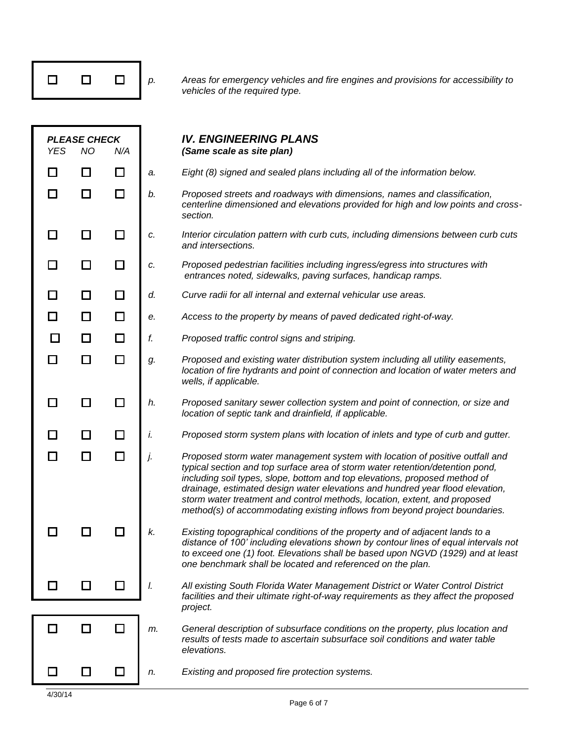|--|

*p. Areas for emergency vehicles and fire engines and provisions for accessibility to vehicles of the required type.* 

| <b>YES</b>   | <b>PLEASE CHECK</b><br><b>NO</b> | N/A    |    | <b>IV. ENGINEERING PLANS</b><br>(Same scale as site plan)                                                                                                                                                                                                                                                                                                                                                                                                                                |
|--------------|----------------------------------|--------|----|------------------------------------------------------------------------------------------------------------------------------------------------------------------------------------------------------------------------------------------------------------------------------------------------------------------------------------------------------------------------------------------------------------------------------------------------------------------------------------------|
| H            | $\Box$                           | $\Box$ | a. | Eight (8) signed and sealed plans including all of the information below.                                                                                                                                                                                                                                                                                                                                                                                                                |
| П            | □                                | □      | b. | Proposed streets and roadways with dimensions, names and classification,<br>centerline dimensioned and elevations provided for high and low points and cross-<br>section.                                                                                                                                                                                                                                                                                                                |
|              | $\Box$                           | $\Box$ | c. | Interior circulation pattern with curb cuts, including dimensions between curb cuts<br>and intersections.                                                                                                                                                                                                                                                                                                                                                                                |
| $\mathbf{I}$ | □                                |        | c. | Proposed pedestrian facilities including ingress/egress into structures with<br>entrances noted, sidewalks, paving surfaces, handicap ramps.                                                                                                                                                                                                                                                                                                                                             |
| □            | □                                | □      | d. | Curve radii for all internal and external vehicular use areas.                                                                                                                                                                                                                                                                                                                                                                                                                           |
| □            | □                                | $\Box$ | е. | Access to the property by means of paved dedicated right-of-way.                                                                                                                                                                                                                                                                                                                                                                                                                         |
| П            | □                                | $\Box$ | f. | Proposed traffic control signs and striping.                                                                                                                                                                                                                                                                                                                                                                                                                                             |
| H            | $\Box$                           | □      | g. | Proposed and existing water distribution system including all utility easements,<br>location of fire hydrants and point of connection and location of water meters and<br>wells, if applicable.                                                                                                                                                                                                                                                                                          |
| $\mathsf{L}$ | $\Box$                           | $\Box$ | h. | Proposed sanitary sewer collection system and point of connection, or size and<br>location of septic tank and drainfield, if applicable.                                                                                                                                                                                                                                                                                                                                                 |
|              | □                                | □      | İ. | Proposed storm system plans with location of inlets and type of curb and gutter.                                                                                                                                                                                                                                                                                                                                                                                                         |
| $\Box$       | □                                | $\Box$ | j. | Proposed storm water management system with location of positive outfall and<br>typical section and top surface area of storm water retention/detention pond,<br>including soil types, slope, bottom and top elevations, proposed method of<br>drainage, estimated design water elevations and hundred year flood elevation,<br>storm water treatment and control methods, location, extent, and proposed<br>method(s) of accommodating existing inflows from beyond project boundaries. |
|              |                                  |        | k. | Existing topographical conditions of the property and of adjacent lands to a<br>distance of 100' including elevations shown by contour lines of equal intervals not<br>to exceed one (1) foot. Elevations shall be based upon NGVD (1929) and at least<br>one benchmark shall be located and referenced on the plan.                                                                                                                                                                     |
|              |                                  |        | I. | All existing South Florida Water Management District or Water Control District<br>facilities and their ultimate right-of-way requirements as they affect the proposed                                                                                                                                                                                                                                                                                                                    |
|              |                                  |        |    | project.                                                                                                                                                                                                                                                                                                                                                                                                                                                                                 |
|              |                                  |        | m. | General description of subsurface conditions on the property, plus location and<br>results of tests made to ascertain subsurface soil conditions and water table<br>elevations.                                                                                                                                                                                                                                                                                                          |
|              | ப                                |        | n. | Existing and proposed fire protection systems.                                                                                                                                                                                                                                                                                                                                                                                                                                           |